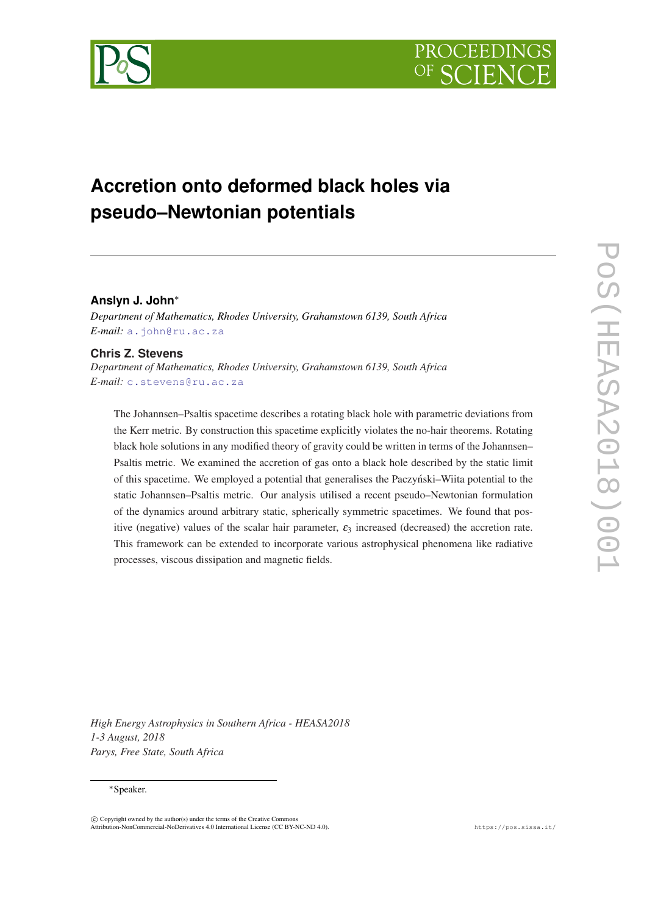



# **Accretion onto deformed black holes via pseudo–Newtonian potentials**

# **Anslyn J. John**<sup>∗</sup>

*Department of Mathematics, Rhodes University, Grahamstown 6139, South Africa E-mail:* [a.john@ru.ac.za](mailto:a.john@ru.ac.za)

## **Chris Z. Stevens**

*Department of Mathematics, Rhodes University, Grahamstown 6139, South Africa E-mail:* [c.stevens@ru.ac.za](mailto:c.stevens@ru.ac.za)

The Johannsen–Psaltis spacetime describes a rotating black hole with parametric deviations from the Kerr metric. By construction this spacetime explicitly violates the no-hair theorems. Rotating black hole solutions in any modified theory of gravity could be written in terms of the Johannsen– Psaltis metric. We examined the accretion of gas onto a black hole described by the static limit of this spacetime. We employed a potential that generalises the Paczynski–Wiita potential to the ´ static Johannsen–Psaltis metric. Our analysis utilised a recent pseudo–Newtonian formulation of the dynamics around arbitrary static, spherically symmetric spacetimes. We found that positive (negative) values of the scalar hair parameter,  $\varepsilon_3$  increased (decreased) the accretion rate. This framework can be extended to incorporate various astrophysical phenomena like radiative processes, viscous dissipation and magnetic fields.

*High Energy Astrophysics in Southern Africa - HEASA2018 1-3 August, 2018 Parys, Free State, South Africa*

## <sup>∗</sup>Speaker.

 $\overline{c}$  Copyright owned by the author(s) under the terms of the Creative Common Attribution-NonCommercial-NoDerivatives 4.0 International License (CC BY-NC-ND 4.0). https://pos.sissa.it/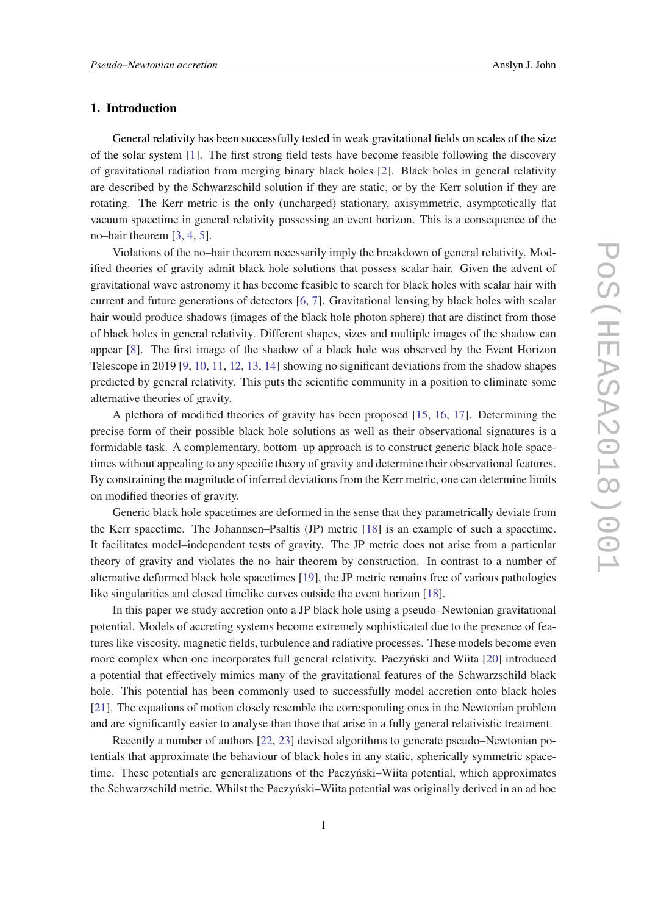## 1. Introduction

General relativity has been successfully tested in weak gravitational fields on scales of the size of the solar system [[1](#page-6-0)]. The first strong field tests have become feasible following the discovery of gravitational radiation from merging binary black holes [\[2](#page-6-0)]. Black holes in general relativity are described by the Schwarzschild solution if they are static, or by the Kerr solution if they are rotating. The Kerr metric is the only (uncharged) stationary, axisymmetric, asymptotically flat vacuum spacetime in general relativity possessing an event horizon. This is a consequence of the no–hair theorem [[3,](#page-6-0) [4,](#page-6-0) [5\]](#page-6-0).

Violations of the no–hair theorem necessarily imply the breakdown of general relativity. Modified theories of gravity admit black hole solutions that possess scalar hair. Given the advent of gravitational wave astronomy it has become feasible to search for black holes with scalar hair with current and future generations of detectors [\[6,](#page-6-0) [7\]](#page-6-0). Gravitational lensing by black holes with scalar hair would produce shadows (images of the black hole photon sphere) that are distinct from those of black holes in general relativity. Different shapes, sizes and multiple images of the shadow can appear [[8](#page-6-0)]. The first image of the shadow of a black hole was observed by the Event Horizon Telescope in 2019 [\[9,](#page-7-0) [10,](#page-7-0) [11,](#page-7-0) [12,](#page-7-0) [13](#page-7-0), [14](#page-7-0)] showing no significant deviations from the shadow shapes predicted by general relativity. This puts the scientific community in a position to eliminate some alternative theories of gravity.

A plethora of modified theories of gravity has been proposed [[15,](#page-7-0) [16,](#page-7-0) [17](#page-7-0)]. Determining the precise form of their possible black hole solutions as well as their observational signatures is a formidable task. A complementary, bottom–up approach is to construct generic black hole spacetimes without appealing to any specific theory of gravity and determine their observational features. By constraining the magnitude of inferred deviations from the Kerr metric, one can determine limits on modified theories of gravity.

Generic black hole spacetimes are deformed in the sense that they parametrically deviate from the Kerr spacetime. The Johannsen–Psaltis (JP) metric [[18\]](#page-7-0) is an example of such a spacetime. It facilitates model–independent tests of gravity. The JP metric does not arise from a particular theory of gravity and violates the no–hair theorem by construction. In contrast to a number of alternative deformed black hole spacetimes [\[19](#page-7-0)], the JP metric remains free of various pathologies like singularities and closed timelike curves outside the event horizon [[18\]](#page-7-0).

In this paper we study accretion onto a JP black hole using a pseudo–Newtonian gravitational potential. Models of accreting systems become extremely sophisticated due to the presence of features like viscosity, magnetic fields, turbulence and radiative processes. These models become even more complex when one incorporates full general relativity. Paczyński and Wiita [[20\]](#page-7-0) introduced a potential that effectively mimics many of the gravitational features of the Schwarzschild black hole. This potential has been commonly used to successfully model accretion onto black holes [[21\]](#page-7-0). The equations of motion closely resemble the corresponding ones in the Newtonian problem and are significantly easier to analyse than those that arise in a fully general relativistic treatment.

Recently a number of authors [[22,](#page-7-0) [23](#page-7-0)] devised algorithms to generate pseudo–Newtonian potentials that approximate the behaviour of black holes in any static, spherically symmetric spacetime. These potentials are generalizations of the Paczyński–Wiita potential, which approximates the Schwarzschild metric. Whilst the Paczyntski–Wiita potential was originally derived in an ad hoc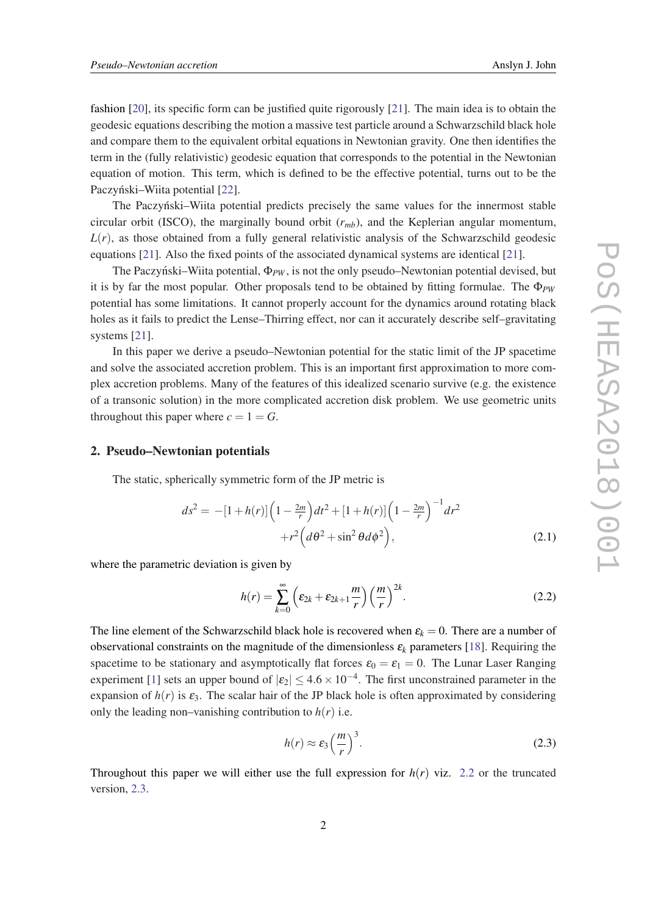<span id="page-2-0"></span>fashion [[20\]](#page-7-0), its specific form can be justified quite rigorously [[21](#page-7-0)]. The main idea is to obtain the geodesic equations describing the motion a massive test particle around a Schwarzschild black hole and compare them to the equivalent orbital equations in Newtonian gravity. One then identifies the term in the (fully relativistic) geodesic equation that corresponds to the potential in the Newtonian equation of motion. This term, which is defined to be the effective potential, turns out to be the Paczyński–Wiita potential [[22\]](#page-7-0).

The Paczyński–Wiita potential predicts precisely the same values for the innermost stable circular orbit (ISCO), the marginally bound orbit  $(r_{mb})$ , and the Keplerian angular momentum,  $L(r)$ , as those obtained from a fully general relativistic analysis of the Schwarzschild geodesic equations [[21](#page-7-0)]. Also the fixed points of the associated dynamical systems are identical [\[21](#page-7-0)].

The Paczynski–Wiita potential,  $\Phi_{PW}$ , is not the only pseudo–Newtonian potential devised, but it is by far the most popular. Other proposals tend to be obtained by fitting formulae. The  $\Phi_{PW}$ potential has some limitations. It cannot properly account for the dynamics around rotating black holes as it fails to predict the Lense–Thirring effect, nor can it accurately describe self–gravitating systems [\[21](#page-7-0)].

In this paper we derive a pseudo–Newtonian potential for the static limit of the JP spacetime and solve the associated accretion problem. This is an important first approximation to more complex accretion problems. Many of the features of this idealized scenario survive (e.g. the existence of a transonic solution) in the more complicated accretion disk problem. We use geometric units throughout this paper where  $c = 1 = G$ .

#### 2. Pseudo–Newtonian potentials

The static, spherically symmetric form of the JP metric is

$$
ds^{2} = -[1+h(r)]\left(1 - \frac{2m}{r}\right)dt^{2} + [1+h(r)]\left(1 - \frac{2m}{r}\right)^{-1}dr^{2} + r^{2}\left(d\theta^{2} + \sin^{2}\theta d\phi^{2}\right),
$$
\n(2.1)

where the parametric deviation is given by

$$
h(r) = \sum_{k=0}^{\infty} \left( \varepsilon_{2k} + \varepsilon_{2k+1} \frac{m}{r} \right) \left( \frac{m}{r} \right)^{2k}.
$$
 (2.2)

The line element of the Schwarzschild black hole is recovered when  $\varepsilon_k = 0$ . There are a number of observational constraints on the magnitude of the dimensionless  $\varepsilon_k$  parameters [[18](#page-7-0)]. Requiring the spacetime to be stationary and asymptotically flat forces  $\varepsilon_0 = \varepsilon_1 = 0$ . The Lunar Laser Ranging experiment [[1](#page-6-0)] sets an upper bound of  $|\epsilon_2| \leq 4.6 \times 10^{-4}$ . The first unconstrained parameter in the expansion of  $h(r)$  is  $\varepsilon_3$ . The scalar hair of the JP black hole is often approximated by considering only the leading non–vanishing contribution to  $h(r)$  i.e.

$$
h(r) \approx \varepsilon_3 \left(\frac{m}{r}\right)^3. \tag{2.3}
$$

Throughout this paper we will either use the full expression for  $h(r)$  viz. 2.2 or the truncated version, 2.3.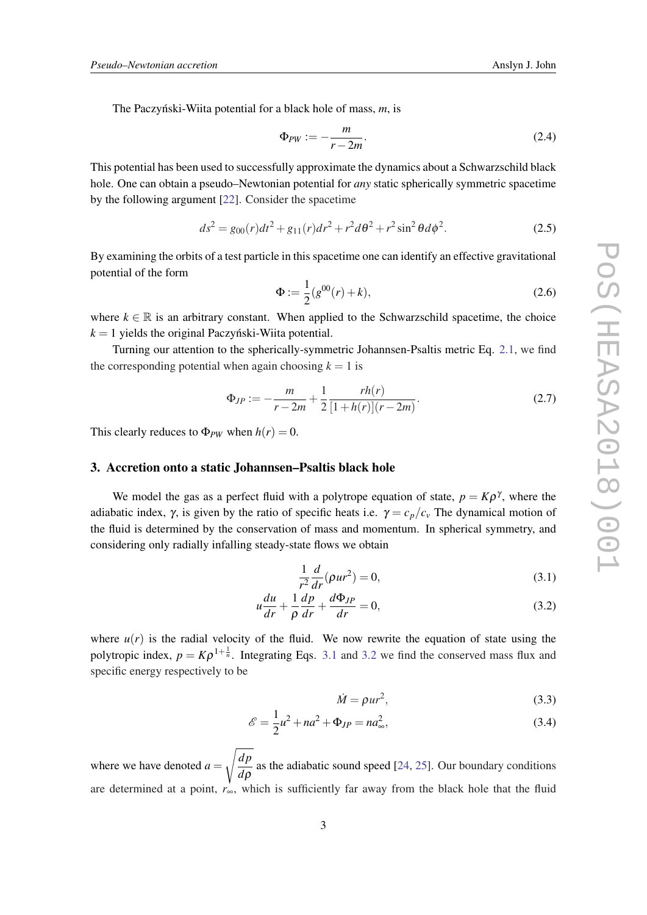<span id="page-3-0"></span>The Paczynski-Wiita potential for a black hole of mass, m, is

$$
\Phi_{PW} := -\frac{m}{r - 2m}.\tag{2.4}
$$

This potential has been used to successfully approximate the dynamics about a Schwarzschild black hole. One can obtain a pseudo–Newtonian potential for *any* static spherically symmetric spacetime by the following argument [\[22](#page-7-0)]. Consider the spacetime

$$
ds^{2} = g_{00}(r)dt^{2} + g_{11}(r)dr^{2} + r^{2}d\theta^{2} + r^{2}\sin^{2}\theta d\phi^{2}.
$$
 (2.5)

By examining the orbits of a test particle in this spacetime one can identify an effective gravitational potential of the form

$$
\Phi := \frac{1}{2}(g^{00}(r) + k),\tag{2.6}
$$

where  $k \in \mathbb{R}$  is an arbitrary constant. When applied to the Schwarzschild spacetime, the choice  $k = 1$  yields the original Paczynski-Wiita potential.

Turning our attention to the spherically-symmetric Johannsen-Psaltis metric Eq. [2.1](#page-2-0), we find the corresponding potential when again choosing  $k = 1$  is

$$
\Phi_{JP} := -\frac{m}{r - 2m} + \frac{1}{2} \frac{rh(r)}{[1 + h(r)](r - 2m)}.
$$
\n(2.7)

This clearly reduces to  $\Phi_{PW}$  when  $h(r) = 0$ .

### 3. Accretion onto a static Johannsen–Psaltis black hole

We model the gas as a perfect fluid with a polytrope equation of state,  $p = K\rho^{\gamma}$ , where the adiabatic index,  $\gamma$ , is given by the ratio of specific heats i.e.  $\gamma = c_p/c_v$  The dynamical motion of the fluid is determined by the conservation of mass and momentum. In spherical symmetry, and considering only radially infalling steady-state flows we obtain

$$
\frac{1}{r^2}\frac{d}{dr}(\rho u r^2) = 0,
$$
\n(3.1)

$$
u\frac{du}{dr} + \frac{1}{\rho}\frac{dp}{dr} + \frac{d\Phi_{JP}}{dr} = 0,
$$
\n(3.2)

where  $u(r)$  is the radial velocity of the fluid. We now rewrite the equation of state using the polytropic index,  $p = K\rho^{1+\frac{1}{n}}$ . Integrating Eqs. 3.1 and 3.2 we find the conserved mass flux and specific energy respectively to be

$$
\dot{M} = \rho u r^2,\tag{3.3}
$$

$$
\mathscr{E} = \frac{1}{2}u^2 + na^2 + \Phi_{JP} = na_\infty^2,\tag{3.4}
$$

where we have denoted  $a =$  $\sqrt{dp}$  $\frac{dP}{d\rho}$  as the adiabatic sound speed [[24,](#page-7-0) [25](#page-7-0)]. Our boundary conditions are determined at a point, *r*∞, which is sufficiently far away from the black hole that the fluid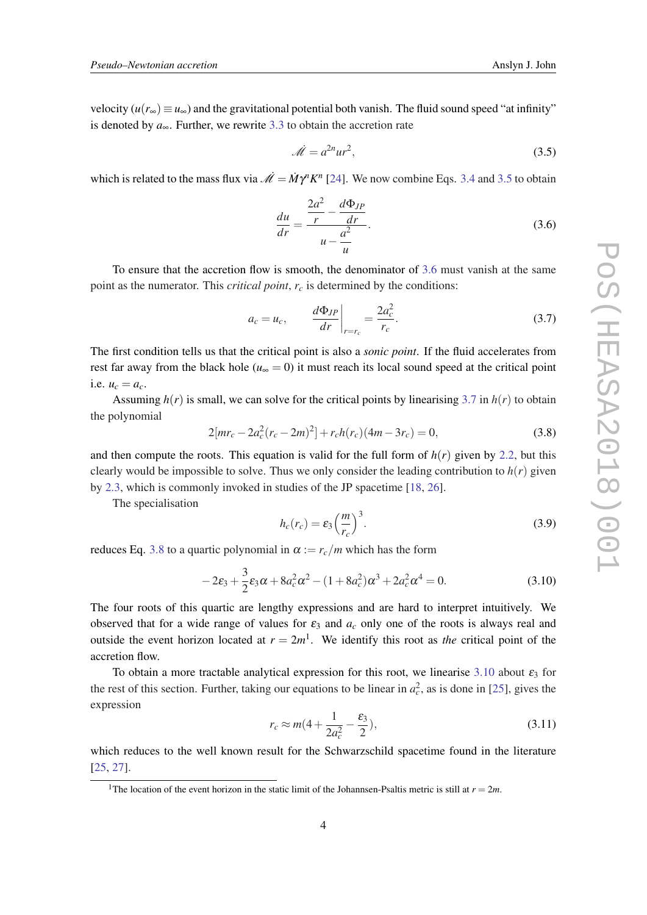<span id="page-4-0"></span>velocity  $(u(r_{\infty}) \equiv u_{\infty})$  and the gravitational potential both vanish. The fluid sound speed "at infinity" is denoted by *a*∞. Further, we rewrite [3.3](#page-3-0) to obtain the accretion rate

$$
\mathcal{M} = a^{2n}ur^2,\tag{3.5}
$$

which is related to the mass flux via  $\mathcal{M} = \dot{M} \gamma^n K^n$  [[24](#page-7-0)]. We now combine Eqs. [3.4](#page-3-0) and 3.5 to obtain

$$
\frac{du}{dr} = \frac{\frac{2a^2}{r} - \frac{d\Phi_{JP}}{dr}}{u - \frac{a^2}{u}}.\tag{3.6}
$$

To ensure that the accretion flow is smooth, the denominator of 3.6 must vanish at the same point as the numerator. This *critical point*, *r<sup>c</sup>* is determined by the conditions:

$$
a_c = u_c, \qquad \left. \frac{d\Phi_{JP}}{dr} \right|_{r=r_c} = \frac{2a_c^2}{r_c}.
$$
 (3.7)

The first condition tells us that the critical point is also a *sonic point*. If the fluid accelerates from rest far away from the black hole ( $u_{\infty} = 0$ ) it must reach its local sound speed at the critical point i.e.  $u_c = a_c$ .

Assuming  $h(r)$  is small, we can solve for the critical points by linearising 3.7 in  $h(r)$  to obtain the polynomial

$$
2[mr_c - 2a_c^2(r_c - 2m)^2] + r_c h(r_c)(4m - 3r_c) = 0,
$$
\n(3.8)

and then compute the roots. This equation is valid for the full form of  $h(r)$  given by [2.2](#page-2-0), but this clearly would be impossible to solve. Thus we only consider the leading contribution to  $h(r)$  given by [2.3,](#page-2-0) which is commonly invoked in studies of the JP spacetime [\[18](#page-7-0), [26](#page-7-0)].

The specialisation

$$
h_c(r_c) = \varepsilon_3 \left(\frac{m}{r_c}\right)^3. \tag{3.9}
$$

reduces Eq. 3.8 to a quartic polynomial in  $\alpha := r_c/m$  which has the form

$$
-2\varepsilon_3 + \frac{3}{2}\varepsilon_3 \alpha + 8a_c^2 \alpha^2 - (1 + 8a_c^2)\alpha^3 + 2a_c^2 \alpha^4 = 0.
$$
 (3.10)

The four roots of this quartic are lengthy expressions and are hard to interpret intuitively. We observed that for a wide range of values for  $\varepsilon_3$  and  $a_c$  only one of the roots is always real and outside the event horizon located at  $r = 2m<sup>1</sup>$ . We identify this root as *the* critical point of the accretion flow.

To obtain a more tractable analytical expression for this root, we linearise 3.10 about  $\varepsilon_3$  for the rest of this section. Further, taking our equations to be linear in  $a_c^2$ , as is done in [\[25](#page-7-0)], gives the expression

$$
r_c \approx m(4 + \frac{1}{2a_c^2} - \frac{\varepsilon_3}{2}),
$$
\n(3.11)

which reduces to the well known result for the Schwarzschild spacetime found in the literature [[25,](#page-7-0) [27](#page-8-0)].

<sup>&</sup>lt;sup>1</sup>The location of the event horizon in the static limit of the Johannsen-Psaltis metric is still at  $r = 2m$ .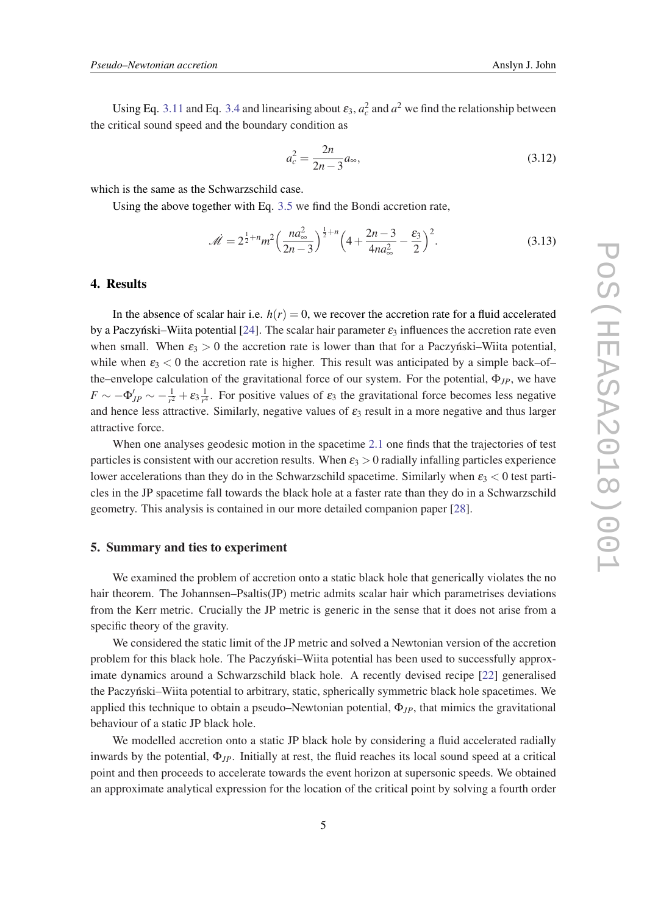Using Eq. [3.11](#page-4-0) and Eq. [3.4](#page-3-0) and linearising about  $\varepsilon_3$ ,  $a_c^2$  and  $a^2$  we find the relationship between the critical sound speed and the boundary condition as

$$
a_c^2 = \frac{2n}{2n - 3} a_{\infty},
$$
\n(3.12)

which is the same as the Schwarzschild case.

Using the above together with Eq. [3.5](#page-4-0) we find the Bondi accretion rate,

$$
\mathcal{M} = 2^{\frac{1}{2} + n} m^2 \left( \frac{n a_{\infty}^2}{2n - 3} \right)^{\frac{1}{2} + n} \left( 4 + \frac{2n - 3}{4n a_{\infty}^2} - \frac{\varepsilon_3}{2} \right)^2.
$$
 (3.13)

## 4. Results

In the absence of scalar hair i.e.  $h(r) = 0$ , we recover the accretion rate for a fluid accelerated by a Paczynski–Wiita potential [[24\]](#page-7-0). The scalar hair parameter  $\varepsilon_3$  influences the accretion rate even when small. When  $\varepsilon_3 > 0$  the accretion rate is lower than that for a Paczynski–Wiita potential, while when  $\varepsilon_3 < 0$  the accretion rate is higher. This result was anticipated by a simple back–of– the–envelope calculation of the gravitational force of our system. For the potential, Φ*JP*, we have  $F\sim -\Phi'_{JP}\sim -\frac{1}{r^2}$  $\frac{1}{r^2} + \varepsilon_3 \frac{1}{r^4}$  $\frac{1}{r^4}$ . For positive values of  $\varepsilon_3$  the gravitational force becomes less negative and hence less attractive. Similarly, negative values of  $\varepsilon_3$  result in a more negative and thus larger attractive force.

When one analyses geodesic motion in the spacetime [2.1](#page-2-0) one finds that the trajectories of test particles is consistent with our accretion results. When  $\varepsilon_3 > 0$  radially infalling particles experience lower accelerations than they do in the Schwarzschild spacetime. Similarly when  $\varepsilon_3 < 0$  test particles in the JP spacetime fall towards the black hole at a faster rate than they do in a Schwarzschild geometry. This analysis is contained in our more detailed companion paper [[28\]](#page-8-0).

## 5. Summary and ties to experiment

We examined the problem of accretion onto a static black hole that generically violates the no hair theorem. The Johannsen–Psaltis(JP) metric admits scalar hair which parametrises deviations from the Kerr metric. Crucially the JP metric is generic in the sense that it does not arise from a specific theory of the gravity.

We considered the static limit of the JP metric and solved a Newtonian version of the accretion problem for this black hole. The Paczyński–Wiita potential has been used to successfully approximate dynamics around a Schwarzschild black hole. A recently devised recipe [[22\]](#page-7-0) generalised the Paczynski–Wiita potential to arbitrary, static, spherically symmetric black hole spacetimes. We ´ applied this technique to obtain a pseudo–Newtonian potential,  $\Phi_{IP}$ , that mimics the gravitational behaviour of a static JP black hole.

We modelled accretion onto a static JP black hole by considering a fluid accelerated radially inwards by the potential,  $\Phi_{IP}$ . Initially at rest, the fluid reaches its local sound speed at a critical point and then proceeds to accelerate towards the event horizon at supersonic speeds. We obtained an approximate analytical expression for the location of the critical point by solving a fourth order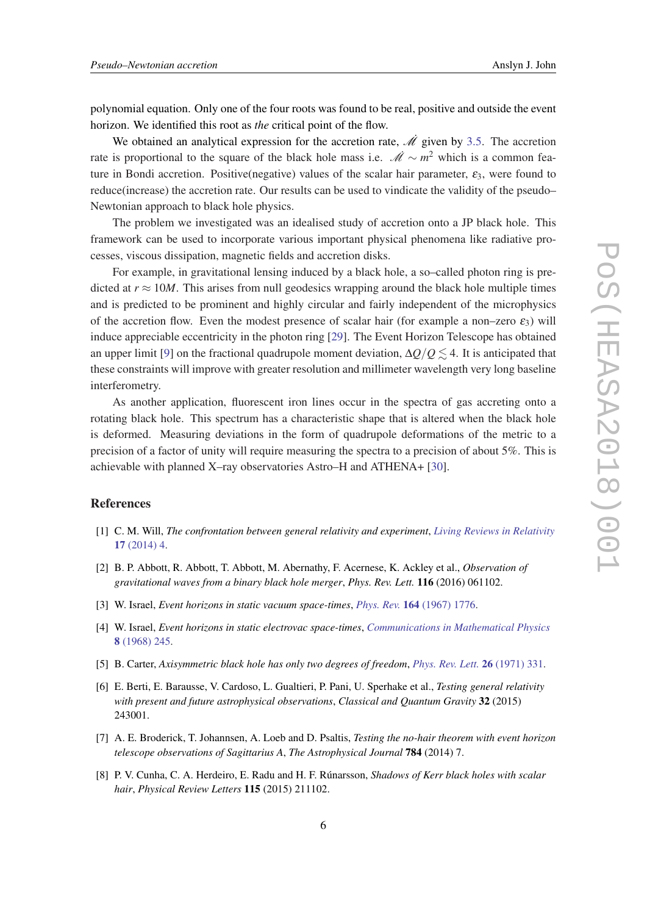<span id="page-6-0"></span>polynomial equation. Only one of the four roots was found to be real, positive and outside the event horizon. We identified this root as *the* critical point of the flow.

We obtained an analytical expression for the accretion rate,  $\dot{\mathcal{M}}$  given by [3.5](#page-4-0). The accretion rate is proportional to the square of the black hole mass i.e.  $\dot{\mathcal{M}} \sim m^2$  which is a common feature in Bondi accretion. Positive(negative) values of the scalar hair parameter,  $\varepsilon_3$ , were found to reduce(increase) the accretion rate. Our results can be used to vindicate the validity of the pseudo– Newtonian approach to black hole physics.

The problem we investigated was an idealised study of accretion onto a JP black hole. This framework can be used to incorporate various important physical phenomena like radiative processes, viscous dissipation, magnetic fields and accretion disks.

For example, in gravitational lensing induced by a black hole, a so–called photon ring is predicted at  $r \approx 10M$ . This arises from null geodesics wrapping around the black hole multiple times and is predicted to be prominent and highly circular and fairly independent of the microphysics of the accretion flow. Even the modest presence of scalar hair (for example a non–zero  $\varepsilon_3$ ) will induce appreciable eccentricity in the photon ring [[29\]](#page-8-0). The Event Horizon Telescope has obtained an upper limit [[9](#page-7-0)] on the fractional quadrupole moment deviation,  $\Delta Q/Q \lesssim 4$ . It is anticipated that these constraints will improve with greater resolution and millimeter wavelength very long baseline interferometry.

As another application, fluorescent iron lines occur in the spectra of gas accreting onto a rotating black hole. This spectrum has a characteristic shape that is altered when the black hole is deformed. Measuring deviations in the form of quadrupole deformations of the metric to a precision of a factor of unity will require measuring the spectra to a precision of about 5%. This is achievable with planned X–ray observatories Astro–H and ATHENA+ [[30\]](#page-8-0).

## **References**

- [1] C. M. Will, *The confrontation between general relativity and experiment*, *[Living Reviews in Relativity](https://doi.org/10.12942/lrr-2014-4)* 17 [\(2014\) 4.](https://doi.org/10.12942/lrr-2014-4)
- [2] B. P. Abbott, R. Abbott, T. Abbott, M. Abernathy, F. Acernese, K. Ackley et al., *Observation of gravitational waves from a binary black hole merger*, *Phys. Rev. Lett.* 116 (2016) 061102.
- [3] W. Israel, *Event horizons in static vacuum space-times*, *Phys. Rev.* 164 [\(1967\) 1776.](https://doi.org/10.1103/PhysRev.164.1776)
- [4] W. Israel, *Event horizons in static electrovac space-times*, *[Communications in Mathematical Physics](https://doi.org/10.1007/BF01645859)* 8 [\(1968\) 245.](https://doi.org/10.1007/BF01645859)
- [5] B. Carter, *Axisymmetric black hole has only two degrees of freedom*, *[Phys. Rev. Lett.](https://doi.org/10.1103/PhysRevLett.26.331)* 26 (1971) 331.
- [6] E. Berti, E. Barausse, V. Cardoso, L. Gualtieri, P. Pani, U. Sperhake et al., *Testing general relativity with present and future astrophysical observations*, *Classical and Quantum Gravity* 32 (2015) 243001.
- [7] A. E. Broderick, T. Johannsen, A. Loeb and D. Psaltis, *Testing the no-hair theorem with event horizon telescope observations of Sagittarius A*, *The Astrophysical Journal* 784 (2014) 7.
- [8] P. V. Cunha, C. A. Herdeiro, E. Radu and H. F. Rúnarsson, *Shadows of Kerr black holes with scalar hair*, *Physical Review Letters* 115 (2015) 211102.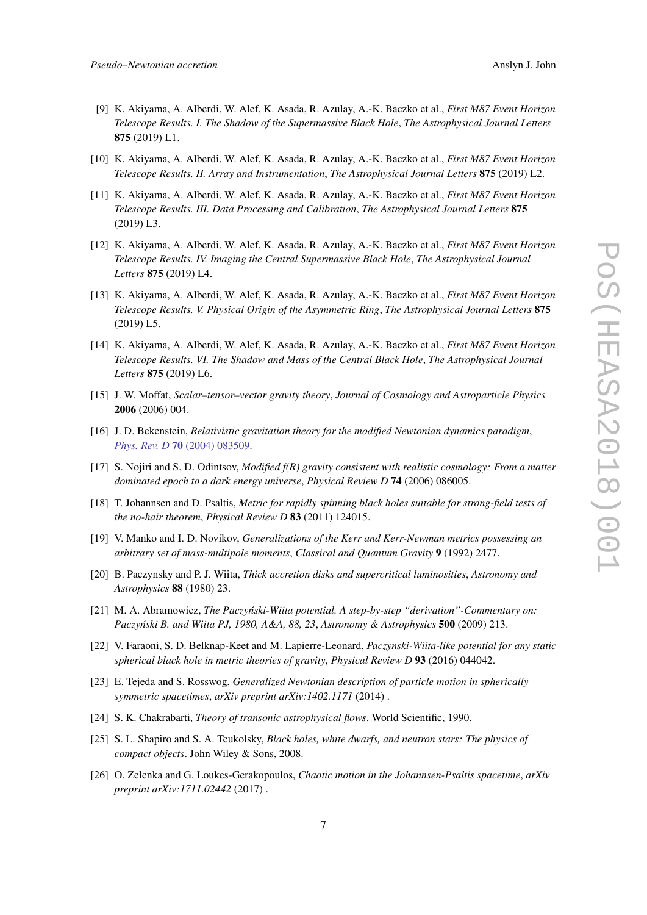- <span id="page-7-0"></span>[9] K. Akiyama, A. Alberdi, W. Alef, K. Asada, R. Azulay, A.-K. Baczko et al., *First M87 Event Horizon Telescope Results. I. The Shadow of the Supermassive Black Hole*, *The Astrophysical Journal Letters* 875 (2019) L1.
- [10] K. Akiyama, A. Alberdi, W. Alef, K. Asada, R. Azulay, A.-K. Baczko et al., *First M87 Event Horizon Telescope Results. II. Array and Instrumentation*, *The Astrophysical Journal Letters* 875 (2019) L2.
- [11] K. Akiyama, A. Alberdi, W. Alef, K. Asada, R. Azulay, A.-K. Baczko et al., *First M87 Event Horizon Telescope Results. III. Data Processing and Calibration*, *The Astrophysical Journal Letters* 875 (2019) L3.
- [12] K. Akiyama, A. Alberdi, W. Alef, K. Asada, R. Azulay, A.-K. Baczko et al., *First M87 Event Horizon Telescope Results. IV. Imaging the Central Supermassive Black Hole*, *The Astrophysical Journal Letters* 875 (2019) L4.
- [13] K. Akiyama, A. Alberdi, W. Alef, K. Asada, R. Azulay, A.-K. Baczko et al., *First M87 Event Horizon Telescope Results. V. Physical Origin of the Asymmetric Ring*, *The Astrophysical Journal Letters* 875 (2019) L5.
- [14] K. Akiyama, A. Alberdi, W. Alef, K. Asada, R. Azulay, A.-K. Baczko et al., *First M87 Event Horizon Telescope Results. VI. The Shadow and Mass of the Central Black Hole*, *The Astrophysical Journal Letters* 875 (2019) L6.
- [15] J. W. Moffat, *Scalar–tensor–vector gravity theory*, *Journal of Cosmology and Astroparticle Physics* 2006 (2006) 004.
- [16] J. D. Bekenstein, *Relativistic gravitation theory for the modified Newtonian dynamics paradigm*, *Phys. Rev. D* 70 [\(2004\) 083509.](https://doi.org/10.1103/PhysRevD.70.083509)
- [17] S. Nojiri and S. D. Odintsov, *Modified f(R) gravity consistent with realistic cosmology: From a matter dominated epoch to a dark energy universe*, *Physical Review D* 74 (2006) 086005.
- [18] T. Johannsen and D. Psaltis, *Metric for rapidly spinning black holes suitable for strong-field tests of the no-hair theorem*, *Physical Review D* 83 (2011) 124015.
- [19] V. Manko and I. D. Novikov, *Generalizations of the Kerr and Kerr-Newman metrics possessing an arbitrary set of mass-multipole moments*, *Classical and Quantum Gravity* 9 (1992) 2477.
- [20] B. Paczynsky and P. J. Wiita, *Thick accretion disks and supercritical luminosities*, *Astronomy and Astrophysics* 88 (1980) 23.
- [21] M. A. Abramowicz, *The Paczyński-Wiita potential. A step-by-step "derivation"-Commentary on: Paczy ´nski B. and Wiita PJ, 1980, A&A, 88, 23*, *Astronomy & Astrophysics* 500 (2009) 213.
- [22] V. Faraoni, S. D. Belknap-Keet and M. Lapierre-Leonard, *Paczynski-Wiita-like potential for any static spherical black hole in metric theories of gravity*, *Physical Review D* 93 (2016) 044042.
- [23] E. Tejeda and S. Rosswog, *Generalized Newtonian description of particle motion in spherically symmetric spacetimes*, *arXiv preprint arXiv:1402.1171* (2014) .
- [24] S. K. Chakrabarti, *Theory of transonic astrophysical flows*. World Scientific, 1990.
- [25] S. L. Shapiro and S. A. Teukolsky, *Black holes, white dwarfs, and neutron stars: The physics of compact objects*. John Wiley & Sons, 2008.
- [26] O. Zelenka and G. Loukes-Gerakopoulos, *Chaotic motion in the Johannsen-Psaltis spacetime*, *arXiv preprint arXiv:1711.02442* (2017) .